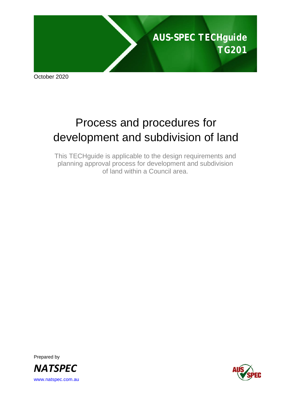

October 2020

# Process and procedures for development and subdivision of land

This TECHguide is applicable to the design requirements and planning approval process for development and subdivision of land within a Council area.

Prepared by *NATSPEC* [www.natspec.com.au](http://www.natspec.com.au/)

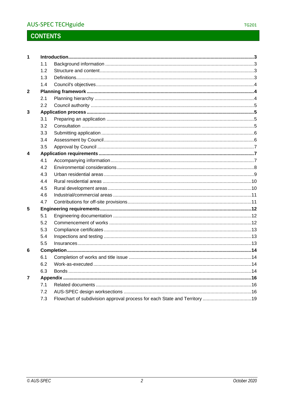## **CONTENTS**

| $\mathbf 1$    |     |  |  |  |  |
|----------------|-----|--|--|--|--|
|                | 1.1 |  |  |  |  |
|                | 1.2 |  |  |  |  |
|                | 1.3 |  |  |  |  |
|                | 1.4 |  |  |  |  |
| 2              |     |  |  |  |  |
|                | 2.1 |  |  |  |  |
|                | 2.2 |  |  |  |  |
| 3              |     |  |  |  |  |
|                | 3.1 |  |  |  |  |
|                | 3.2 |  |  |  |  |
|                | 3.3 |  |  |  |  |
|                | 3.4 |  |  |  |  |
|                | 3.5 |  |  |  |  |
| 4              |     |  |  |  |  |
|                | 4.1 |  |  |  |  |
|                | 4.2 |  |  |  |  |
|                | 4.3 |  |  |  |  |
|                | 4.4 |  |  |  |  |
|                | 4.5 |  |  |  |  |
|                | 4.6 |  |  |  |  |
|                | 4.7 |  |  |  |  |
| 5              |     |  |  |  |  |
|                | 5.1 |  |  |  |  |
|                | 5.2 |  |  |  |  |
|                | 5.3 |  |  |  |  |
|                | 5.4 |  |  |  |  |
|                | 5.5 |  |  |  |  |
| 6              |     |  |  |  |  |
|                | 6.1 |  |  |  |  |
|                | 6.2 |  |  |  |  |
|                | 6.3 |  |  |  |  |
| $\overline{7}$ |     |  |  |  |  |
|                | 7.1 |  |  |  |  |
|                | 7.2 |  |  |  |  |
|                | 7.3 |  |  |  |  |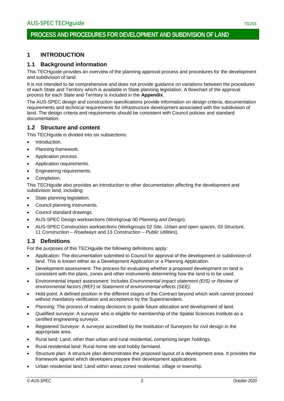### **PROCESS AND PROCEDURES FOR DEVELOPMENT AND SUBDIVISION OF LAND**

### <span id="page-2-0"></span>**1 INTRODUCTION**

### <span id="page-2-1"></span>**1.1 Background information**

This TECHguide provides an overview of the planning approval process and procedures for the development and subdivision of land.

It is not intended to be comprehensive and does not provide guidance on variations between the procedures of each State and Territory which is available in State planning legislation. A flowchart of the approval process for each State and Territory is included in the **Appendix**.

The AUS-SPEC design and construction specifications provide information on design criteria, documentation requirements and technical requirements for infrastructure development associated with the subdivision of land. The design criteria and requirements should be consistent with Council policies and standard documentation.

### <span id="page-2-2"></span>**1.2 Structure and content**

This TECHguide is divided into six subsections:

- Introduction.
- Planning framework.
- Application process.
- Application requirements.
- Engineering requirements.
- Completion.

This TECHguide also provides an introduction to other documentation affecting the development and subdivision land, including:

- State planning legislation.
- Council planning instruments.
- Council standard drawings.
- AUS-SPEC Design worksections (Workgroup 00 *Planning and Design*).
- AUS-SPEC Construction worksections (Workgroups 02 *Site*, *Urban and open spaces*, 03 *Structure*, 11 *Construction – Roadways* and 13 *Construction – Public Utilities*).

### <span id="page-2-3"></span>**1.3 Definitions**

For the purposes of this TECHguide the following definitions apply:

- Application: The documentation submitted to Council for approval of the development or subdivision of land. This is known either as a Development Application or a Planning Application.
- Development assessment: The process for evaluating whether a proposed development on land is consistent with the plans, zones and other instruments determining how the land is to be used.
- Environmental impact assessment: Includes *Environmental impact statement (EIS) or Review of environmental factors (REF)* or *Statement of environmental effects (SEE)*.
- Hold point: A defined position in the different stages of the Contract beyond which work cannot proceed without mandatory verification and acceptance by the Superintendent.
- Planning: The process of making decisions to guide future allocation and development of land.
- Qualified surveyor: A surveyor who is eligible for membership of the Spatial Sciences Institute as a certified engineering surveyor.
- Registered Surveyor: A surveyor accredited by the Institution of Surveyors for civil design in the appropriate area.
- Rural land: Land, other than urban and rural residential, comprising larger holdings.
- Rural residential land: Rural home site and hobby farmland.
- Structure plan: A structure plan demonstrates the proposed layout of a development area. It provides the framework against which developers prepare their development applications.
- Urban residential land: Land within areas zoned residential, village or township.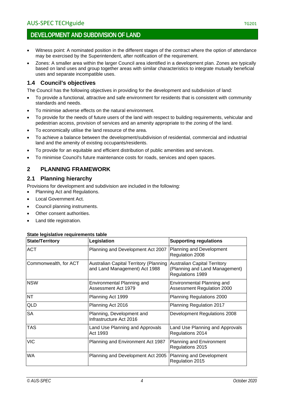### **DEVELOPMENT AND SUBDIVISION OF LAND**

- Witness point: A nominated position in the different stages of the contract where the option of attendance may be exercised by the Superintendent, after notification of the requirement.
- Zones: A smaller area within the larger Council area identified in a development plan. Zones are typically based on land uses and group together areas with similar characteristics to integrate mutually beneficial uses and separate incompatible uses.

### <span id="page-3-0"></span>**1.4 Council's objectives**

The Council has the following objectives in providing for the development and subdivision of land:

- To provide a functional, attractive and safe environment for residents that is consistent with community standards and needs.
- To minimise adverse effects on the natural environment.
- To provide for the needs of future users of the land with respect to building requirements, vehicular and pedestrian access, provision of services and an amenity appropriate to the zoning of the land.
- To economically utilise the land resource of the area.
- To achieve a balance between the development/subdivision of residential, commercial and industrial land and the amenity of existing occupants/residents.
- To provide for an equitable and efficient distribution of public amenities and services.
- To minimise Council's future maintenance costs for roads, services and open spaces.

### <span id="page-3-1"></span>**2 PLANNING FRAMEWORK**

### <span id="page-3-2"></span>**2.1 Planning hierarchy**

Provisions for development and subdivision are included in the following:

- Planning Act and Regulations.
- Local Government Act.
- Council planning instruments.
- Other consent authorities.
- Land title registration.

#### **State legislative requirements table**

| <b>State/Territory</b> | Legislation                                                                    | <b>Supporting regulations</b>                                                             |
|------------------------|--------------------------------------------------------------------------------|-------------------------------------------------------------------------------------------|
| <b>ACT</b>             | Planning and Development Act 2007                                              | Planning and Development<br>Regulation 2008                                               |
| Commonwealth, for ACT  | <b>Australian Capital Territory (Planning</b><br>and Land Management) Act 1988 | <b>Australian Capital Territory</b><br>(Planning and Land Management)<br>Regulations 1989 |
| <b>NSW</b>             | Environmental Planning and<br>Assessment Act 1979                              | Environmental Planning and<br>Assessment Regulation 2000                                  |
| <b>NT</b>              | Planning Act 1999                                                              | Planning Regulations 2000                                                                 |
| QLD                    | Planning Act 2016                                                              | Planning Regulation 2017                                                                  |
| <b>SA</b>              | Planning, Development and<br>Infrastructure Act 2016                           | Development Regulations 2008                                                              |
| TAS                    | Land Use Planning and Approvals<br>Act 1993                                    | Land Use Planning and Approvals<br>Regulations 2014                                       |
| <b>VIC</b>             | Planning and Environment Act 1987                                              | <b>Planning and Environment</b><br>Regulations 2015                                       |
| <b>WA</b>              | Planning and Development Act 2005                                              | Planning and Development<br>Regulation 2015                                               |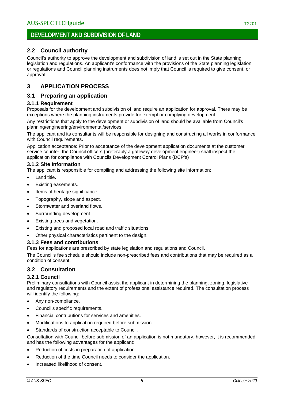### <span id="page-4-0"></span>**2.2 Council authority**

Council's authority to approve the development and subdivision of land is set out in the State planning legislation and regulations. An applicant's conformance with the provisions of the State planning legislation or regulations and Council planning instruments does not imply that Council is required to give consent, or approval.

### <span id="page-4-1"></span>**3 APPLICATION PROCESS**

### <span id="page-4-2"></span>**3.1 Preparing an application**

### **3.1.1 Requirement**

Proposals for the development and subdivision of land require an application for approval. There may be exceptions where the planning instruments provide for exempt or complying development.

Any restrictions that apply to the development or subdivision of land should be available from Council's planning/engineering/environmental/services.

The applicant and its consultants will be responsible for designing and constructing all works in conformance with Council requirements.

Application acceptance: Prior to acceptance of the development application documents at the customer service counter, the Council officers (preferably a gateway development engineer) shall inspect the application for compliance with Councils Development Control Plans (DCP's)

### **3.1.2 Site Information**

The applicant is responsible for compiling and addressing the following site information:

- Land title.
- Existing easements.
- Items of heritage significance.
- Topography, slope and aspect.
- Stormwater and overland flows.
- Surrounding development.
- Existing trees and vegetation.
- Existing and proposed local road and traffic situations.
- Other physical characteristics pertinent to the design.

### **3.1.3 Fees and contributions**

Fees for applications are prescribed by state legislation and regulations and Council.

The Council's fee schedule should include non-prescribed fees and contributions that may be required as a condition of consent.

### <span id="page-4-3"></span>**3.2 Consultation**

### **3.2.1 Council**

Preliminary consultations with Council assist the applicant in determining the planning, zoning, legislative and regulatory requirements and the extent of professional assistance required. The consultation process will identify the following:

- Any non-compliance.
- Council's specific requirements.
- Financial contributions for services and amenities.
- Modifications to application required before submission.
- Standards of construction acceptable to Council.

Consultation with Council before submission of an application is not mandatory, however, it is recommended and has the following advantages for the applicant:

- Reduction of costs in preparation of application.
- Reduction of the time Council needs to consider the application.
- Increased likelihood of consent.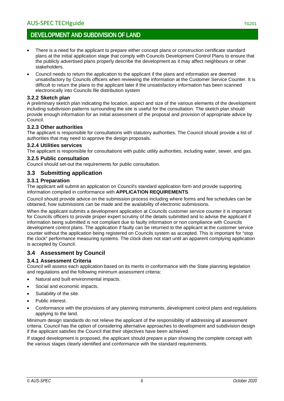### **DEVELOPMENT AND SUBDIVISION OF LAND**

- There is a need for the applicant to prepare either concept plans or construction certificate standard plans at the initial application stage that comply with Councils Development Control Plans to ensure that the publicly advertised plans properly describe the development as it may affect neighbours or other stakeholders.
- Council needs to return the application to the applicant if the plans and information are deemed unsatisfactory by Councils officers when reviewing the information at the Customer Service Counter. It is difficult to return the plans to the applicant later if the unsatisfactory information has been scanned electronically into Councils file distribution system

#### **3.2.2 Sketch plan**

A preliminary sketch plan indicating the location, aspect and size of the various elements of the development including subdivision patterns surrounding the site is useful for the consultation. The sketch plan should provide enough information for an initial assessment of the proposal and provision of appropriate advice by Council.

#### **3.2.3 Other authorities**

The applicant is responsible for consultations with statutory authorities. The Council should provide a list of authorities that may need to approve the design proposals.

#### **3.2.4 Utilities services**

The applicant is responsible for consultations with public utility authorities, including water, sewer, and gas.

#### **3.2.5 Public consultation**

Council should set-out the requirements for public consultation.

### <span id="page-5-0"></span>**3.3 Submitting application**

#### **3.3.1 Preparation**

The applicant will submit an application on Council's standard application form and provide supporting information compiled in conformance with **APPLICATION REQUIREMENTS**.

Council should provide advice on the submission process including where forms and fee schedules can be obtained, how submissions can be made and the availability of electronic submissions.

When the applicant submits a development application at Councils customer service counter it is important for Councils officers to provide proper expert scrutiny of the details submitted and to advise the applicant if information being submitted is not compliant due to faulty information or non compliance with Councils development control plans. The application if faulty can be returned to the applicant at the customer service counter without the application being registered on Councils system as accepted. This is important for "stop the clock" performance measuring systems. The clock does not start until an apparent complying application is accepted by Council.

### <span id="page-5-1"></span>**3.4 Assessment by Council**

### **3.4.1 Assessment Criteria**

Council will assess each application based on its merits in conformance with the State planning legislation and regulations and the following minimum assessment criteria:

- Natural and built environmental impacts.
- Social and economic impacts.
- Suitability of the site.
- Public interest.
- Conformance with the provisions of any planning instruments, development control plans and regulations applying to the land.

Minimum design standards do not relieve the applicant of the responsibility of addressing all assessment criteria. Council has the option of considering alternative approaches to development and subdivision design if the applicant satisfies the Council that their objectives have been achieved.

If staged development is proposed, the applicant should prepare a plan showing the complete concept with the various stages clearly identified and conformance with the standard requirements.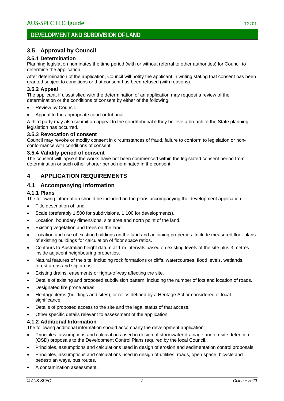### <span id="page-6-0"></span>**3.5 Approval by Council**

### **3.5.1 Determination**

Planning legislation nominates the time period (with or without referral to other authorities) for Council to determine the application.

After determination of the application, Council will notify the applicant in writing stating that consent has been granted subject to conditions or that consent has been refused (with reasons).

### **3.5.2 Appeal**

The applicant, if dissatisfied with the determination of an application may request a review of the determination or the conditions of consent by either of the following:

- Review by Council.
- Appeal to the appropriate court or tribunal.

A third party may also submit an appeal to the court/tribunal if they believe a breach of the State planning legislation has occurred.

### **3.5.3 Revocation of consent**

Council may revoke or modify consent in circumstances of fraud, failure to conform to legislation or nonconformance with conditions of consent.

#### **3.5.4 Validity period of consent**

The consent will lapse if the works have not been commenced within the legislated consent period from determination or such other shorter period nominated in the consent.

### <span id="page-6-1"></span>**4 APPLICATION REQUIREMENTS**

### <span id="page-6-2"></span>**4.1 Accompanying information**

#### **4.1.1 Plans**

The following information should be included on the plans accompanying the development application:

- Title description of land.
- Scale (preferably 1:500 for subdivisions, 1:100 for developments).
- Location, boundary dimensions, site area and north point of the land.
- Existing vegetation and trees on the land.
- Location and use of existing buildings on the land and adjoining properties. Include measured floor plans of existing buildings for calculation of floor space ratios.
- Contours to Australian height datum at 1 m intervals based on existing levels of the site plus 3 metres inside adjacent neighbouring properties.
- Natural features of the site, including rock formations or cliffs, watercourses, flood levels, wetlands, forest areas and slip areas.
- Existing drains, easements or rights-of-way affecting the site.
- Details of existing and proposed subdivision pattern, including the number of lots and location of roads.
- Designated fire prone areas.
- Heritage items (buildings and sites), or relics defined by a Heritage Act or considered of local significance.
- Details of proposed access to the site and the legal status of that access.
- Other specific details relevant to assessment of the application.

### **4.1.2 Additional Information**

The following additional information should accompany the development application:

- Principles, assumptions and calculations used in design of stormwater drainage and on-site detention (OSD) proposals to the Development Control Plans required by the local Council.
- Principles, assumptions and calculations used in design of erosion and sedimentation control proposals.
- Principles, assumptions and calculations used in design of utilities, roads, open space, bicycle and pedestrian ways, bus routes.
- A contamination assessment.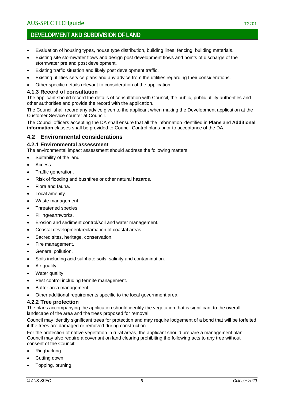### **DEVELOPMENT AND SUBDIVISION OF LAND**

- Evaluation of housing types, house type distribution, building lines, fencing, building materials.
- Existing site stormwater flows and design post development flows and points of discharge of the stormwater pre and post development.
- Existing traffic situation and likely post development traffic.
- Existing utilities service plans and any advice from the utilities regarding their considerations.
- Other specific details relevant to consideration of the application.

#### **4.1.3 Record of consultation**

The applicant should record the details of consultation with Council, the public, public utility authorities and other authorities and provide the record with the application.

The Council shall record any advice given to the applicant when making the Development application at the Customer Service counter at Council.

The Council officers accepting the DA shall ensure that all the information identified in **Plans** and **Additional information** clauses shall be provided to Council Control plans prior to acceptance of the DA.

### <span id="page-7-0"></span>**4.2 Environmental considerations**

#### **4.2.1 Environmental assessment**

The environmental impact assessment should address the following matters:

- Suitability of the land.
- Access.
- Traffic generation.
- Risk of flooding and bushfires or other natural hazards.
- Flora and fauna.
- Local amenity.
- Waste management.
- Threatened species.
- Filling/earthworks.
- Erosion and sediment control/soil and water management.
- Coastal development/reclamation of coastal areas.
- Sacred sites, heritage, conservation.
- Fire management.
- General pollution.
- Soils including acid sulphate soils, salinity and contamination.
- Air quality.
- Water quality.
- Pest control including termite management.
- Buffer area management.
- Other additional requirements specific to the local government area.

### **4.2.2 Tree protection**

The plans accompanying the application should identify the vegetation that is significant to the overall landscape of the area and the trees proposed for removal.

Council may identify significant trees for protection and may require lodgement of a bond that will be forfeited if the trees are damaged or removed during construction.

For the protection of native vegetation in rural areas, the applicant should prepare a management plan. Council may also require a covenant on land clearing prohibiting the following acts to any tree without consent of the Council:

- Ringbarking.
- Cutting down.
- Topping, pruning.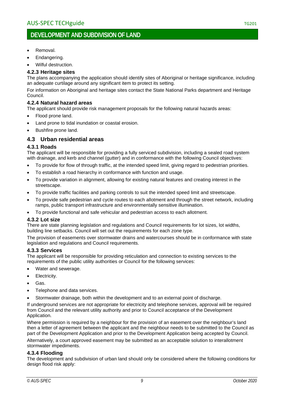### **DEVELOPMENT AND SUBDIVISION OF LAND**

- Removal.
- Endangering.
- Wilful destruction.

#### **4.2.3 Heritage sites**

The plans accompanying the application should identify sites of Aboriginal or heritage significance, including an adequate curtilage around any significant item to protect its setting.

For information on Aboriginal and heritage sites contact the State National Parks department and Heritage Council.

#### **4.2.4 Natural hazard areas**

The applicant should provide risk management proposals for the following natural hazards areas:

- Flood prone land.
- Land prone to tidal inundation or coastal erosion.
- Bushfire prone land.

### <span id="page-8-0"></span>**4.3 Urban residential areas**

#### **4.3.1 Roads**

The applicant will be responsible for providing a fully serviced subdivision, including a sealed road system with drainage, and kerb and channel (gutter) and in conformance with the following Council objectives:

- To provide for flow of through traffic, at the intended speed limit, giving regard to pedestrian priorities.
- To establish a road hierarchy in conformance with function and usage.
- To provide variation in alignment, allowing for existing natural features and creating interest in the streetscape.
- To provide traffic facilities and parking controls to suit the intended speed limit and streetscape.
- To provide safe pedestrian and cycle routes to each allotment and through the street network, including ramps, public transport infrastructure and environmentally sensitive illumination.
- To provide functional and safe vehicular and pedestrian access to each allotment.

#### **4.3.2 Lot size**

There are state planning legislation and regulations and Council requirements for lot sizes, lot widths, building line setbacks. Council will set out the requirements for each zone type.

The provision of easements over stormwater drains and watercourses should be in conformance with state legislation and regulations and Council requirements.

#### **4.3.3 Services**

The applicant will be responsible for providing reticulation and connection to existing services to the requirements of the public utility authorities or Council for the following services:

- Water and sewerage.
- Electricity.
- Gas.
- Telephone and data services.
- Stormwater drainage, both within the development and to an external point of discharge.

If underground services are not appropriate for electricity and telephone services, approval will be required from Council and the relevant utility authority and prior to Council acceptance of the Development Application.

Where permission is required by a neighbour for the provision of an easement over the neighbour's land then a letter of agreement between the applicant and the neighbour needs to be submitted to the Council as part of the Development Application and prior to the Development Application being accepted by Council.

Alternatively, a court approved easement may be submitted as an acceptable solution to interallotment stormwater impediments.

#### **4.3.4 Flooding**

The development and subdivision of urban land should only be considered where the following conditions for design flood risk apply: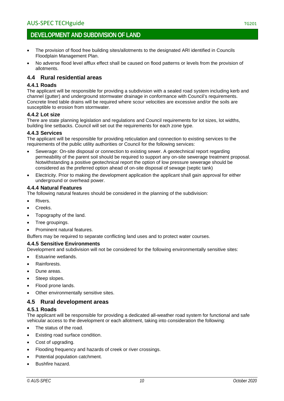- The provision of flood free building sites/allotments to the designated ARI identified in Councils Floodplain Management Plan.
- No adverse flood level afflux effect shall be caused on flood patterns or levels from the provision of allotments.

### <span id="page-9-0"></span>**4.4 Rural residential areas**

### **4.4.1 Roads**

The applicant will be responsible for providing a subdivision with a sealed road system including kerb and channel (gutter) and underground stormwater drainage in conformance with Council's requirements. Concrete lined table drains will be required where scour velocities are excessive and/or the soils are susceptible to erosion from stormwater.

### **4.4.2 Lot size**

There are state planning legislation and regulations and Council requirements for lot sizes, lot widths, building line setbacks. Council will set out the requirements for each zone type.

#### **4.4.3 Services**

The applicant will be responsible for providing reticulation and connection to existing services to the requirements of the public utility authorities or Council for the following services:

- Sewerage: On-site disposal or connection to existing sewer. A geotechnical report regarding permeability of the parent soil should be required to support any on-site sewerage treatment proposal. Notwithstanding a positive geotechnical report the option of low pressure sewerage should be considered as the preferred option ahead of on-site disposal of sewage (septic tank)
- Electricity. Prior to making the development application the applicant shall gain approval for either underground or overhead power.

#### **4.4.4 Natural Features**

The following natural features should be considered in the planning of the subdivision:

- Rivers.
- Creeks.
- Topography of the land.
- Tree groupings.
- Prominent natural features.

Buffers may be required to separate conflicting land uses and to protect water courses.

#### **4.4.5 Sensitive Environments**

Development and subdivision will not be considered for the following environmentally sensitive sites:

- Estuarine wetlands.
- Rainforests.
- Dune areas.
- Steep slopes.
- Flood prone lands.
- Other environmentally sensitive sites.

### <span id="page-9-1"></span>**4.5 Rural development areas**

#### **4.5.1 Roads**

The applicant will be responsible for providing a dedicated all-weather road system for functional and safe vehicular access to the development or each allotment, taking into consideration the following:

- The status of the road.
- Existing road surface condition.
- Cost of upgrading.
- Flooding frequency and hazards of creek or river crossings.
- Potential population catchment.
- Bushfire hazard.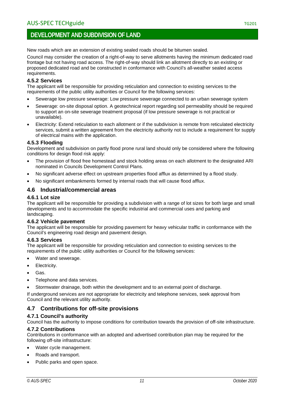New roads which are an extension of existing sealed roads should be bitumen sealed.

Council may consider the creation of a right-of-way to serve allotments having the minimum dedicated road frontage but not having road access. The right-of-way should link an allotment directly to an existing or proposed dedicated road and be constructed in conformance with Council's all-weather sealed access requirements.

### **4.5.2 Services**

The applicant will be responsible for providing reticulation and connection to existing services to the requirements of the public utility authorities or Council for the following services:

- Sewerage low pressure sewerage: Low pressure sewerage connected to an urban sewerage system
- Sewerage: on-site disposal option. A geotechnical report regarding soil permeability should be required to support an on-site sewerage treatment proposal (if low pressure sewerage is not practical or unavailable).
- Electricity: Extend reticulation to each allotment or if the subdivision is remote from reticulated electricity services, submit a written agreement from the electricity authority not to include a requirement for supply of electrical mains with the application.

### **4.5.3 Flooding**

Development and subdivision on partly flood prone rural land should only be considered where the following conditions for design flood risk apply:

- The provision of flood free homestead and stock holding areas on each allotment to the designated ARI nominated in Councils Development Control Plans.
- No significant adverse effect on upstream properties flood afflux as determined by a flood study.
- No significant embankments formed by internal roads that will cause flood afflux.

### <span id="page-10-0"></span>**4.6 Industrial/commercial areas**

### **4.6.1 Lot size**

The applicant will be responsible for providing a subdivision with a range of lot sizes for both large and small developments and to accommodate the specific industrial and commercial uses and parking and landscaping.

### **4.6.2 Vehicle pavement**

The applicant will be responsible for providing pavement for heavy vehicular traffic in conformance with the Council's engineering road design and pavement design.

### **4.6.3 Services**

The applicant will be responsible for providing reticulation and connection to existing services to the requirements of the public utility authorities or Council for the following services:

- Water and sewerage.
- Electricity.
- Gas.
- Telephone and data services.
- Stormwater drainage, both within the development and to an external point of discharge.

If underground services are not appropriate for electricity and telephone services, seek approval from Council and the relevant utility authority.

### <span id="page-10-1"></span>**4.7 Contributions for off-site provisions**

### **4.7.1 Council's authority**

Council has the authority to impose conditions for contribution towards the provision of off-site infrastructure.

### **4.7.2 Contributions**

Contributions in conformance with an adopted and advertised contribution plan may be required for the following off-site infrastructure:

- Water cycle management.
- Roads and transport.
- Public parks and open space.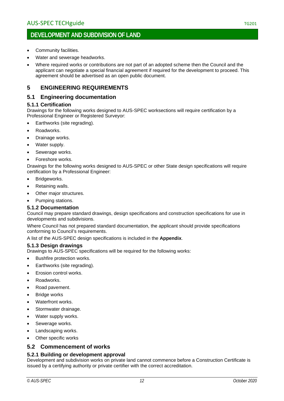- Community facilities.
- Water and sewerage headworks.
- Where required works or contributions are not part of an adopted scheme then the Council and the applicant can negotiate a special financial agreement if required for the development to proceed. This agreement should be advertised as an open public document.

### <span id="page-11-0"></span>**5 ENGINEERING REQUIREMENTS**

### <span id="page-11-1"></span>**5.1 Engineering documentation**

### **5.1.1 Certification**

Drawings for the following works designed to AUS-SPEC worksections will require certification by a Professional Engineer or Registered Surveyor:

- Earthworks (site regrading).
- Roadworks.
- Drainage works.
- Water supply.
- Sewerage works.
- Foreshore works.

Drawings for the following works designed to AUS-SPEC or other State design specifications will require certification by a Professional Engineer:

- Bridgeworks.
- Retaining walls.
- Other major structures.
- Pumping stations.

#### **5.1.2 Documentation**

Council may prepare standard drawings, design specifications and construction specifications for use in developments and subdivisions.

Where Council has not prepared standard documentation, the applicant should provide specifications conforming to Council's requirements.

A list of the AUS-SPEC design specifications is included in the **Appendix**.

#### **5.1.3 Design drawings**

Drawings to AUS-SPEC specifications will be required for the following works:

- Bushfire protection works.
- Earthworks (site regrading).
- Erosion control works.
- Roadworks.
- Road pavement.
- Bridge works
- Waterfront works.
- Stormwater drainage.
- Water supply works.
- Sewerage works.
- Landscaping works.
- Other specific works

### <span id="page-11-2"></span>**5.2 Commencement of works**

### **5.2.1 Building or development approval**

Development and subdivision works on private land cannot commence before a Construction Certificate is issued by a certifying authority or private certifier with the correct accreditation.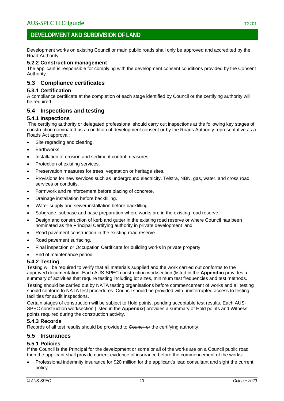Development works on existing Council or main public roads shall only be approved and accredited by the Road Authority.

### **5.2.2 Construction management**

The applicant is responsible for complying with the development consent conditions provided by the Consent Authority.

### <span id="page-12-0"></span>**5.3 Compliance certificates**

#### **5.3.1 Certification**

A compliance certificate at the completion of each stage identified by Council or the certifying authority will be required.

### <span id="page-12-1"></span>**5.4 Inspections and testing**

### **5.4.1 Inspections**

The certifying authority or delegated professional should carry out inspections at the following key stages of construction nominated as a condition of development consent or by the Roads Authority representative as a Roads Act approval:

- Site regrading and clearing.
- Earthworks.
- Installation of erosion and sediment control measures.
- Protection of existing services.
- Preservation measures for trees, vegetation or heritage sites.
- Provisions for new services such as underground electricity, Telstra, NBN, gas, water, and cross road services or conduits.
- Formwork and reinforcement before placing of concrete.
- Drainage installation before backfilling.
- Water supply and sewer installation before backfilling.
- Subgrade, subbase and base preparation where works are in the existing road reserve.
- Design and construction of kerb and gutter in the existing road reserve or where Council has been nominated as the Principal Certifying authority in private development land.
- Road pavement construction in the existing road reserve.
- Road pavement surfacing.
- Final inspection or Occupation Certificate for building works in private property.
- End of maintenance period.

### **5.4.2 Testing**

Testing will be required to verify that all materials supplied and the work carried out conforms to the approved documentation. Each AUS-SPEC construction worksection (listed in the **Appendix**) provides a summary of activities that require testing including lot sizes, minimum test frequencies and test methods.

Testing should be carried out by NATA testing organisations before commencement of works and all testing should conform to NATA test procedures. Council should be provided with uninterrupted access to testing facilities for audit inspections.

Certain stages of construction will be subject to Hold points, pending acceptable test results. Each AUS-SPEC construction worksection (listed in the **Appendix**) provides a summary of Hold points and Witness points required during the construction activity.

### **5.4.3 Records**

Records of all test results should be provided to Council or the certifying authority.

### <span id="page-12-2"></span>**5.5 Insurances**

### **5.5.1 Policies**

If the Council is the Principal for the development or some or all of the works are on a Council public road then the applicant shall provide current evidence of insurance before the commencement of the works:

• Professional indemnity insurance for \$20 million for the applicant's lead consultant and sight the current policy.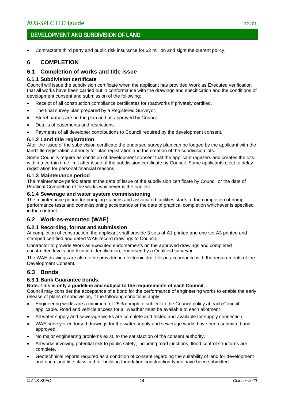### **DEVELOPMENT AND SUBDIVISION OF LAND**

• Contractor's third party and public risk insurance for \$2 million and sight the current policy.

### <span id="page-13-0"></span>**6 COMPLETION**

### <span id="page-13-1"></span>**6.1 Completion of works and title issue**

#### **6.1.1 Subdivision certificate**

Council will issue the subdivision certificate when the applicant has provided Work as Executed verification that all works have been carried out in conformance with the drawings and specification and the conditions of development consent and submission of the following:

- Receipt of all construction compliance certificates for roadworks if privately certified.
- The final survey plan prepared by a Registered Surveyor.
- Street names are on the plan and as approved by Council.
- Details of easements and restrictions.
- Payments of all developer contributions to Council required by the development consent.

#### **6.1.2 Land title registration**

After the issue of the subdivision certificate the endorsed survey plan can be lodged by the applicant with the land title registration authority for plan registration and the creation of the subdivision lots.

Some Councils require as condition of development consent that the applicant registers and creates the lots within a certain time limit after issue of the subdivision certificate by Council. Some applicants elect to delay registration for personal financial reasons.

#### **6.1.3 Maintenance period**

The maintenance period starts at the date of issue of the subdivision certificate by Council or the date of Practical Completion of the works whichever is the earliest.

#### **6.1.4 Sewerage and water system commissioning**

The maintenance period for pumping stations and associated facilities starts at the completion of pump performance tests and commissioning acceptance or the date of practical completion whichever is specified in the contract.

### <span id="page-13-2"></span>**6.2 Work-as-executed (WAE)**

#### **6.2.1 Recording, format and submission**

At completion of construction, the applicant shall provide 3 sets of A1 printed and one set A3 printed and stamped certified and dated WAE record drawings to Council.

Contractor to provide Work as Executed endorsements on the approved drawings and completed constructed levels and location identification, endorsed by a Qualified surveyor.

The WAE drawings are also to be provided in electronic drg. files in accordance with the requirements of the Development Consent.

### <span id="page-13-3"></span>**6.3 Bonds**

### **6.3.1 Bank Guarantee bonds.**

#### **Note: This is only a guideline and subject to the requirements of each Council.**

Council may consider the acceptance of a bond for the performance of engineering works to enable the early release of plans of subdivision, if the following conditions apply:

- Engineering works are a minimum of 25% complete subject to the Council policy at each Council applicable. Road and vehicle access for all weather must be available to each allotment
- All water supply and sewerage works are complete and tested and available for supply connection.
- WAE surveyor endorsed drawings for the water supply and sewerage works have been submitted and approved.
- No major engineering problems exist, to the satisfaction of the consent authority.
- All works involving potential risk to public safety, including road junctions, flood control structures are complete.
- Geotechnical reports required as a condition of consent regarding the suitability of land for development and each land title classified for building foundation construction types have been submitted.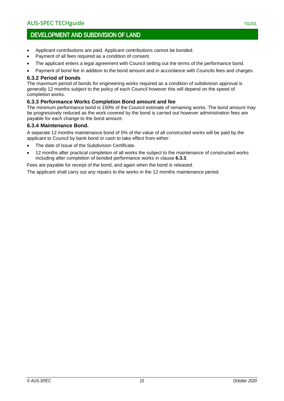### **DEVELOPMENT AND SUBDIVISION OF LAND**

- Applicant contributions are paid. Applicant contributions cannot be bonded.
- Payment of all fees required as a condition of consent.
- The applicant enters a legal agreement with Council setting out the terms of the performance bond.
- Payment of bond fee in addition to the bond amount and in accordance with Councils fees and charges.

#### **6.3.2 Period of bonds**

The maximum period of bonds for engineering works required as a condition of subdivision approval is generally 12 months subject to the policy of each Council however this will depend on the speed of completion works.

### **6.3.3 Performance Works Completion Bond amount and fee**

The minimum performance bond is 150% of the Council estimate of remaining works. The bond amount may be progressively reduced as the work covered by the bond is carried out however administration fees are payable for each change to the bond amount.

### **6.3.4 Maintenance Bond.**

A separate 12 months maintenance bond of 5% of the value of all constructed works will be paid by the applicant to Council by bank bond or cash to take effect from either:

- The date of Issue of the Subdivision Certificate.
- 12 months after practical completion of all works the subject to the maintenance of constructed works including after completion of bonded performance works in clause **6.3.3**.

Fees are payable for receipt of the bond, and again when the bond is released.

The applicant shall carry out any repairs to the works in the 12 months maintenance period.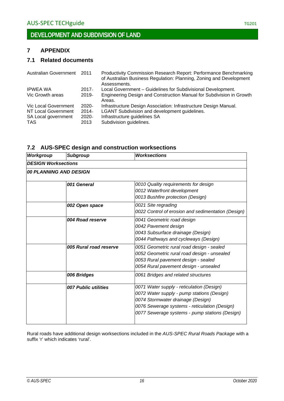### <span id="page-15-0"></span>**7 APPENDIX**

### <span id="page-15-1"></span>**7.1 Related documents**

| <b>Australian Government</b> 2011 | Productivity Commission Research Report: Performance Benchmarking<br>of Australian Business Regulation: Planning, Zoning and Development<br>Assessments. |
|-----------------------------------|----------------------------------------------------------------------------------------------------------------------------------------------------------|
| $2017 -$                          | Local Government - Guidelines for Subdivisional Development.                                                                                             |
| $2019 -$                          | Engineering Design and Construction Manual for Subdivision in Growth<br>Areas.                                                                           |
| $2020 -$                          | Infrastructure Design Association: Infrastructure Design Manual.                                                                                         |
| $2014 -$                          | <b>LGANT Subdivision and development guidelines.</b>                                                                                                     |
| 2020                              | Infrastructure guidelines SA                                                                                                                             |
| 2013                              | Subdivision guidelines.                                                                                                                                  |
|                                   |                                                                                                                                                          |

### <span id="page-15-2"></span>**7.2 AUS-SPEC design and construction worksections**

| <b>Workgroup</b>       | <b>Subgroup</b>            | <b>Worksections</b>                                                                                                                                                                                                             |  |  |  |
|------------------------|----------------------------|---------------------------------------------------------------------------------------------------------------------------------------------------------------------------------------------------------------------------------|--|--|--|
|                        | <b>DESIGN Worksections</b> |                                                                                                                                                                                                                                 |  |  |  |
| 00 PLANNING AND DESIGN |                            |                                                                                                                                                                                                                                 |  |  |  |
|                        | 001 General                | 0010 Quality requirements for design<br>0012 Waterfront development<br>0013 Bushfire protection (Design)                                                                                                                        |  |  |  |
|                        | 002 Open space             | 0021 Site regrading<br>0022 Control of erosion and sedimentation (Design)                                                                                                                                                       |  |  |  |
|                        | 004 Road reserve           | 0041 Geometric road design<br>0042 Pavement design<br>0043 Subsurface drainage (Design)<br>0044 Pathways and cycleways (Design)                                                                                                 |  |  |  |
|                        | 005 Rural road reserve     | 0051 Geometric rural road design - sealed<br>0052 Geometric rural road design - unsealed<br>0053 Rural pavement design - sealed<br>0054 Rural pavement design - unsealed                                                        |  |  |  |
|                        | 006 Bridges                | 0061 Bridges and related structures                                                                                                                                                                                             |  |  |  |
|                        | 007 Public utilities       | 0071 Water supply - reticulation (Design)<br>0072 Water supply - pump stations (Design)<br>0074 Stormwater drainage (Design)<br>0076 Sewerage systems - reticulation (Design)<br>0077 Sewerage systems - pump stations (Design) |  |  |  |

Rural roads have additional design worksections included in the *AUS-SPEC Rural Roads Package* with a suffix 'r' which indicates 'rural'.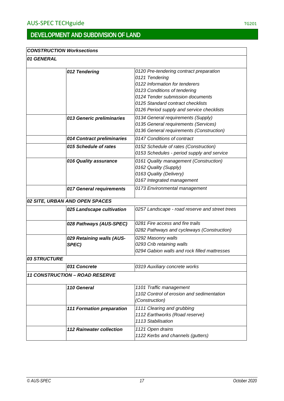### *CONSTRUCTION Worksections*

### *01 GENERAL*

|              | 012 Tendering                         | 0120 Pre-tendering contract preparation        |
|--------------|---------------------------------------|------------------------------------------------|
|              |                                       | 0121 Tendering                                 |
|              |                                       | 0122 Information for tenderers                 |
|              |                                       | 0123 Conditions of tendering                   |
|              |                                       | 0124 Tender submission documents               |
|              |                                       | 0125 Standard contract checklists              |
|              |                                       | 0126 Period supply and service checklists      |
|              | 013 Generic preliminaries             | 0134 General requirements (Supply)             |
|              |                                       | 0135 General requirements (Services)           |
|              |                                       | 0136 General requirements (Construction)       |
|              | 014 Contract preliminaries            | 0147 Conditions of contract                    |
|              | 015 Schedule of rates                 | 0152 Schedule of rates (Construction)          |
|              |                                       | 0153 Schedules - period supply and service     |
|              | 016 Quality assurance                 | 0161 Quality management (Construction)         |
|              |                                       | 0162 Quality (Supply)                          |
|              |                                       | 0163 Quality (Delivery)                        |
|              |                                       | 0167 Integrated management                     |
|              | 017 General requirements              | 0173 Environmental management                  |
|              |                                       |                                                |
|              | 02 SITE, URBAN AND OPEN SPACES        |                                                |
|              | 025 Landscape cultivation             | 0257 Landscape - road reserve and street trees |
|              |                                       |                                                |
|              | 028 Pathways (AUS-SPEC)               | 0281 Fire access and fire trails               |
|              |                                       | 0282 Pathways and cycleways (Construction)     |
|              | 029 Retaining walls (AUS-             | 0292 Masonry walls                             |
|              | SPEC)                                 | 0293 Crib retaining walls                      |
|              |                                       | 0294 Gabion walls and rock filled mattresses   |
| 03 STRUCTURE |                                       |                                                |
|              | 031 Concrete                          | 0319 Auxiliary concrete works                  |
|              | <b>11 CONSTRUCTION - ROAD RESERVE</b> |                                                |
|              |                                       |                                                |
|              | 110 General                           | 1101 Traffic management                        |
|              |                                       | 1102 Control of erosion and sedimentation      |
|              |                                       | (Construction)                                 |
|              | <b>111 Formation preparation</b>      | 1111 Clearing and grubbing                     |
|              |                                       | 1112 Earthworks (Road reserve)                 |
|              |                                       | 1113 Stabilisation                             |
|              | <b>112 Rainwater collection</b>       | 1121 Open drains                               |
|              |                                       | 1122 Kerbs and channels (gutters)              |
|              |                                       |                                                |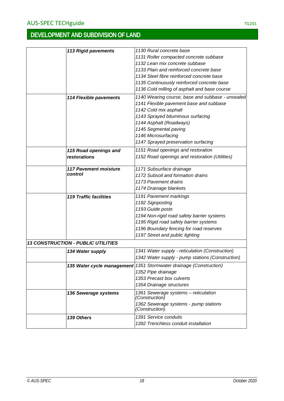| <b>113 Rigid pavements</b>                | 1130 Rural concrete base                                           |
|-------------------------------------------|--------------------------------------------------------------------|
|                                           | 1131 Roller compacted concrete subbase                             |
|                                           | 1132 Lean mix concrete subbase                                     |
|                                           | 1133 Plain and reinforced concrete base                            |
|                                           | 1134 Steel fibre reinforced concrete base                          |
|                                           | 1135 Continuously reinforced concrete base                         |
|                                           | 1136 Cold milling of asphalt and base course                       |
| <b>114 Flexible pavements</b>             | 1140 Wearing course, base and subbase - unsealed                   |
|                                           | 1141 Flexible pavement base and subbase                            |
|                                           | 1142 Cold mix asphalt                                              |
|                                           | 1143 Sprayed bituminous surfacing                                  |
|                                           | 1144 Asphalt (Roadways)                                            |
|                                           | 1145 Segmental paving                                              |
|                                           | 1146 Microsurfacing                                                |
|                                           | 1147 Sprayed preservation surfacing                                |
|                                           | 1151 Road openings and restoration                                 |
| 115 Road openings and<br>restorations     | 1152 Road openings and restoration (Utilities)                     |
|                                           |                                                                    |
| <b>117 Pavement moisture</b>              | 1171 Subsurface drainage                                           |
| control                                   | 1172 Subsoil and formation drains                                  |
|                                           | 1173 Pavement drains                                               |
|                                           | 1174 Drainage blankets                                             |
| <b>119 Traffic facilities</b>             | 1191 Pavement markings                                             |
|                                           | 1192 Signposting                                                   |
|                                           | 1193 Guide posts                                                   |
|                                           | 1194 Non-rigid road safety barrier systems                         |
|                                           | 1195 Rigid road safety barrier systems                             |
|                                           | 1196 Boundary fencing for road reserves                            |
|                                           | 1197 Street and public lighting                                    |
| <b>13 CONSTRUCTION - PUBLIC UTILITIES</b> |                                                                    |
|                                           |                                                                    |
| 134 Water supply                          | 1341 Water supply - reticulation (Construction)                    |
|                                           | 1342 Water supply - pump stations (Construction)                   |
|                                           | 135 Water cycle management 1351 Stormwater drainage (Construction) |
|                                           | 1352 Pipe drainage                                                 |
|                                           | 1353 Precast box culverts                                          |
|                                           | 1354 Drainage structures                                           |
| 136 Sewerage systems                      | 1361 Sewerage systems - reticulation                               |
|                                           | (Construction)                                                     |
|                                           | 1362 Sewerage systems - pump stations<br>(Construction)            |
|                                           |                                                                    |
| 139 Others                                | 1391 Service conduits                                              |
|                                           | 1392 Trenchless conduit installation                               |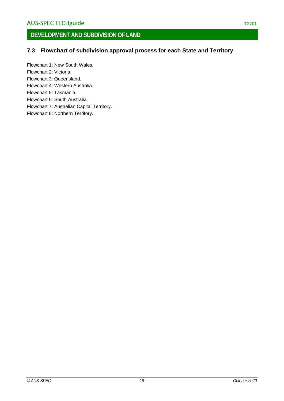### <span id="page-18-0"></span>**7.3 Flowchart of subdivision approval process for each State and Territory**

Flowchart 1: New South Wales. Flowchart 2: Victoria. Flowchart 3: Queensland. Flowchart 4: Western Australia.

Flowchart 5: Tasmania.

Flowchart 6: South Australia.

Flowchart 7: Australian Capital Territory.

Flowchart 8: Northern Territory.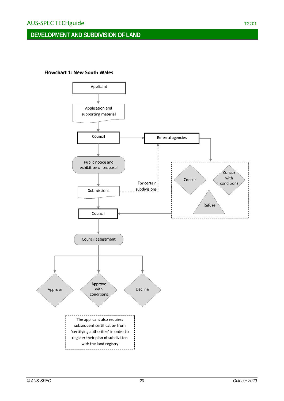### **DEVELOPMENT AND SUBDIVISION OF LAND**

#### Flowchart 1: New South Wales

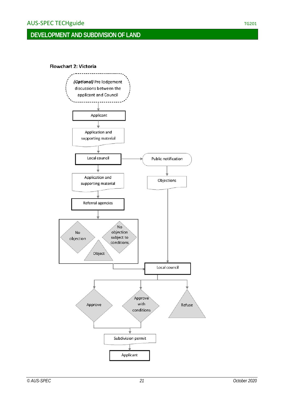#### **Flowchart 2: Victoria**

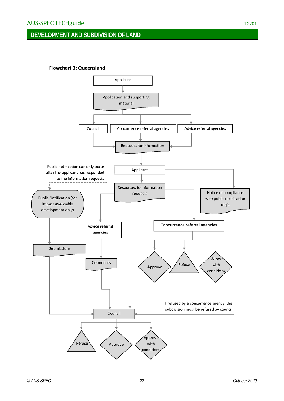### **DEVELOPMENT AND SUBDIVISION OF LAND**

#### Flowchart 3: Queensland

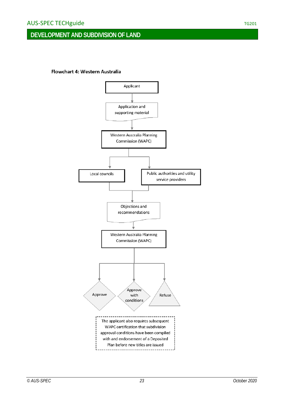### **DEVELOPMENT AND SUBDIVISION OF LAND**

#### Flowchart 4: Western Australia

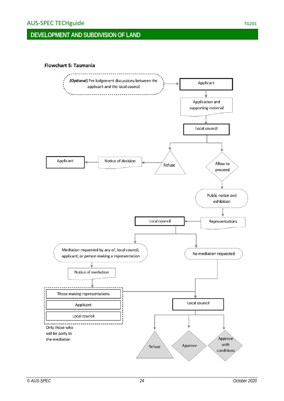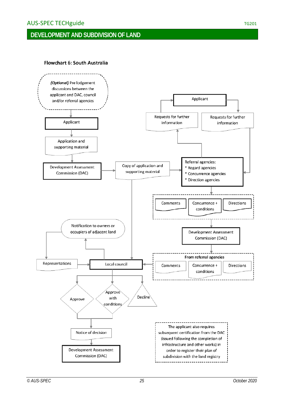### **DEVELOPMENT AND SUBDIVISION OF LAND**

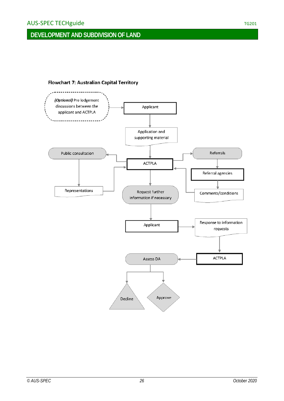### **DEVELOPMENT AND SUBDIVISION OF LAND**

#### Flowchart 7: Australian Capital Territory